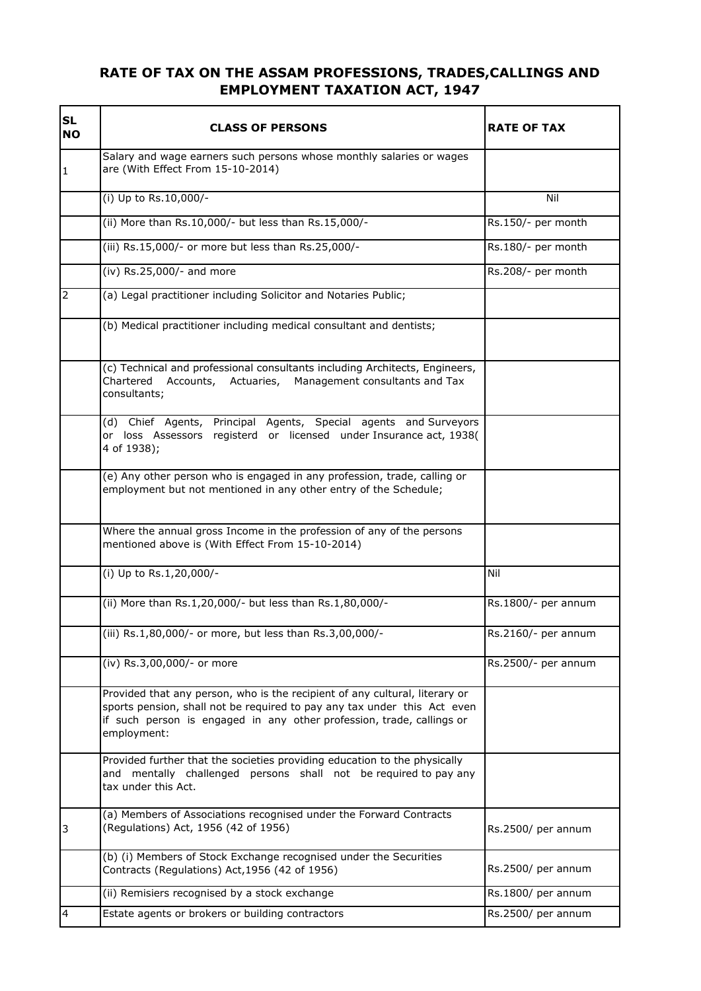## **RATE OF TAX ON THE ASSAM PROFESSIONS, TRADES,CALLINGS AND EMPLOYMENT TAXATION ACT, 1947**

| <b>SL</b><br><b>NO</b> | <b>CLASS OF PERSONS</b>                                                                                                                                                                                                                         | <b>RATE OF TAX</b>  |
|------------------------|-------------------------------------------------------------------------------------------------------------------------------------------------------------------------------------------------------------------------------------------------|---------------------|
| $\mathbf{1}$           | Salary and wage earners such persons whose monthly salaries or wages<br>are (With Effect From 15-10-2014)                                                                                                                                       |                     |
|                        | (i) Up to Rs.10,000/-                                                                                                                                                                                                                           | Nil                 |
|                        | (ii) More than Rs.10,000/- but less than Rs.15,000/-                                                                                                                                                                                            | Rs.150/- per month  |
|                        | (iii) Rs.15,000/- or more but less than Rs.25,000/-                                                                                                                                                                                             | Rs.180/- per month  |
|                        | (iv) Rs.25,000/- and more                                                                                                                                                                                                                       | Rs.208/- per month  |
| 2                      | (a) Legal practitioner including Solicitor and Notaries Public;                                                                                                                                                                                 |                     |
|                        | (b) Medical practitioner including medical consultant and dentists;                                                                                                                                                                             |                     |
|                        | (c) Technical and professional consultants including Architects, Engineers,<br>Chartered<br>Accounts, Actuaries, Management consultants and Tax<br>consultants;                                                                                 |                     |
|                        | (d) Chief Agents, Principal Agents, Special agents and Surveyors<br>or loss Assessors registerd or licensed under Insurance act, 1938(<br>4 of 1938);                                                                                           |                     |
|                        | (e) Any other person who is engaged in any profession, trade, calling or<br>employment but not mentioned in any other entry of the Schedule;                                                                                                    |                     |
|                        | Where the annual gross Income in the profession of any of the persons<br>mentioned above is (With Effect From 15-10-2014)                                                                                                                       |                     |
|                        | (i) Up to Rs.1,20,000/-                                                                                                                                                                                                                         | Nil                 |
|                        | (ii) More than Rs.1,20,000/- but less than Rs.1,80,000/-                                                                                                                                                                                        | Rs.1800/- per annum |
|                        | (iii) Rs.1,80,000/- or more, but less than Rs.3,00,000/-                                                                                                                                                                                        | Rs.2160/- per annum |
|                        | (iv) Rs.3,00,000/- or more                                                                                                                                                                                                                      | Rs.2500/- per annum |
|                        | Provided that any person, who is the recipient of any cultural, literary or<br>sports pension, shall not be required to pay any tax under this Act even<br>if such person is engaged in any other profession, trade, callings or<br>employment: |                     |
|                        | Provided further that the societies providing education to the physically<br>and mentally challenged persons shall not be required to pay any<br>tax under this Act.                                                                            |                     |
| 3                      | (a) Members of Associations recognised under the Forward Contracts<br>(Regulations) Act, 1956 (42 of 1956)                                                                                                                                      | Rs.2500/ per annum  |
|                        | (b) (i) Members of Stock Exchange recognised under the Securities<br>Contracts (Regulations) Act, 1956 (42 of 1956)                                                                                                                             | Rs.2500/ per annum  |
|                        | (ii) Remisiers recognised by a stock exchange                                                                                                                                                                                                   | Rs.1800/ per annum  |
| 4                      | Estate agents or brokers or building contractors                                                                                                                                                                                                | Rs.2500/ per annum  |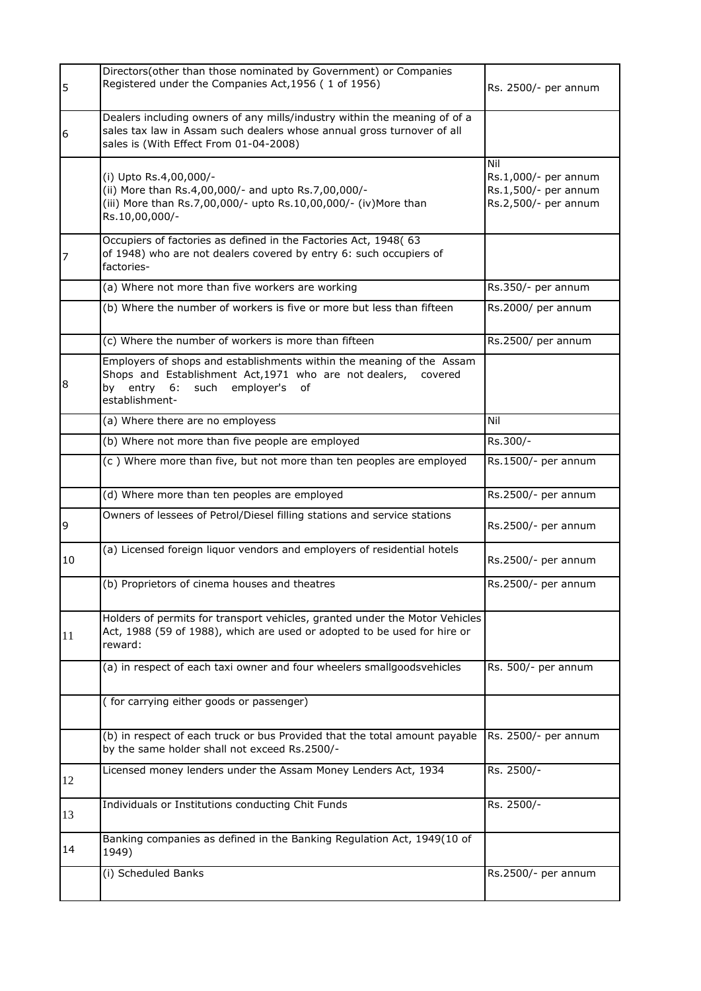| 5  | Directors(other than those nominated by Government) or Companies<br>Registered under the Companies Act, 1956 (1 of 1956)                                                                                | Rs. 2500/- per annum                                                        |
|----|---------------------------------------------------------------------------------------------------------------------------------------------------------------------------------------------------------|-----------------------------------------------------------------------------|
| 6  | Dealers including owners of any mills/industry within the meaning of of a<br>sales tax law in Assam such dealers whose annual gross turnover of all<br>sales is (With Effect From 01-04-2008)           |                                                                             |
|    | (i) Upto Rs.4,00,000/-<br>(ii) More than Rs.4,00,000/- and upto Rs.7,00,000/-<br>(iii) More than Rs.7,00,000/- upto Rs.10,00,000/- (iv) More than<br>Rs.10,00,000/-                                     | Nil<br>Rs.1,000/- per annum<br>Rs.1,500/- per annum<br>Rs.2,500/- per annum |
|    | Occupiers of factories as defined in the Factories Act, 1948( 63<br>of 1948) who are not dealers covered by entry 6: such occupiers of<br>factories-                                                    |                                                                             |
|    | (a) Where not more than five workers are working                                                                                                                                                        | Rs.350/- per annum                                                          |
|    | (b) Where the number of workers is five or more but less than fifteen                                                                                                                                   | Rs.2000/ per annum                                                          |
|    | (c) Where the number of workers is more than fifteen                                                                                                                                                    | Rs.2500/ per annum                                                          |
| 8  | Employers of shops and establishments within the meaning of the Assam<br>Shops and Establishment Act, 1971 who are not dealers,<br>covered<br>entry 6:<br>such employer's<br>by<br>οf<br>establishment- |                                                                             |
|    | (a) Where there are no employess                                                                                                                                                                        | Nil                                                                         |
|    | (b) Where not more than five people are employed                                                                                                                                                        | Rs.300/-                                                                    |
|    | (c) Where more than five, but not more than ten peoples are employed                                                                                                                                    | Rs.1500/- per annum                                                         |
|    | (d) Where more than ten peoples are employed                                                                                                                                                            | Rs.2500/- per annum                                                         |
| 9  | Owners of lessees of Petrol/Diesel filling stations and service stations                                                                                                                                | Rs.2500/- per annum                                                         |
| 10 | (a) Licensed foreign liquor vendors and employers of residential hotels                                                                                                                                 | Rs.2500/- per annum                                                         |
|    | (b) Proprietors of cinema houses and theatres                                                                                                                                                           | Rs.2500/- per annum                                                         |
| 11 | Holders of permits for transport vehicles, granted under the Motor Vehicles<br>Act, 1988 (59 of 1988), which are used or adopted to be used for hire or<br>reward:                                      |                                                                             |
|    | (a) in respect of each taxi owner and four wheelers smallgoodsvehicles                                                                                                                                  | Rs. 500/- per annum                                                         |
|    | (for carrying either goods or passenger)                                                                                                                                                                |                                                                             |
|    | (b) in respect of each truck or bus Provided that the total amount payable<br>by the same holder shall not exceed Rs.2500/-                                                                             | Rs. 2500/- per annum                                                        |
| 12 | Licensed money lenders under the Assam Money Lenders Act, 1934                                                                                                                                          | Rs. 2500/-                                                                  |
| 13 | Individuals or Institutions conducting Chit Funds                                                                                                                                                       | Rs. 2500/-                                                                  |
| 14 | Banking companies as defined in the Banking Regulation Act, 1949(10 of<br>1949)                                                                                                                         |                                                                             |
|    | (i) Scheduled Banks                                                                                                                                                                                     | Rs.2500/- per annum                                                         |